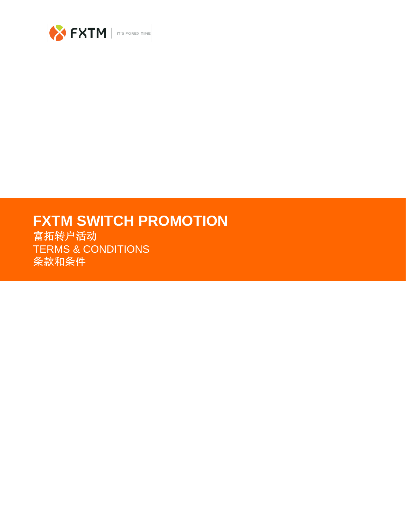

# **FXTM SWITCH PROMOTION**

富拓转户活动 TERMS & CONDITIONS 条款和条件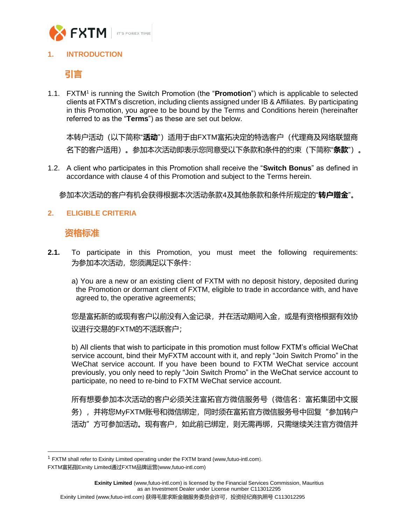

## **1. INTRODUCTION**

**引言**

1.1. FXTM<sup>1</sup> is running the Switch Promotion (the "Promotion") which is applicable to selected clients at FXTM's discretion, including clients assigned under IB & Affiliates. By participating in this Promotion, you agree to be bound by the Terms and Conditions herein (hereinafter referred to as the "**Terms**") as these are set out below.

本转户活动(以下简称"**活动**")适用于由FXTM富拓决定的特选客户(代理商及网络联盟商 名下的客户适用)。参加本次活动即表示您同意受以下条款和条件的约束(下简称"**条款**")。

1.2. A client who participates in this Promotion shall receive the "**Switch Bonus**" as defined in accordance with clause 4 of this Promotion and subject to the Terms herein.

参加本次活动的客户有机会获得根据本次活动条款4及其他条款和条件所规定的"**转户赠金**"。

## **2. ELIGIBLE CRITERIA**

## **资格标准**

- **2.1.** To participate in this Promotion, you must meet the following requirements: 为参加本次活动,您须满足以下条件:
	- a) You are a new or an existing client of FXTM with no deposit history, deposited during the Promotion or dormant client of FXTM, eligible to trade in accordance with, and have agreed to, the operative agreements;

您是富拓新的或现有客户以前没有入金记录,并在活动期间入金,或是有资格根据有效协 议进行交易的FXTM的不活跃客户;

b) All clients that wish to participate in this promotion must follow FXTM's official WeChat service account, bind their MyFXTM account with it, and reply "Join Switch Promo" in the WeChat service account. If you have been bound to FXTM WeChat service account previously, you only need to reply "Join Switch Promo" in the WeChat service account to participate, no need to re-bind to FXTM WeChat service account.

所有想要参加本次活动的客户必须关注富拓官方微信服务号(微信名:富拓集团中文服 务),并将您MyFXTM账号和微信绑定,同时须在富拓官方微信服务号中回复"参加转户 活动"方可参加活动。现有客户,如此前已绑定,则无需再绑,只需继续关注官方微信并

<sup>&</sup>lt;sup>1</sup> FXTM shall refer to Exinity Limited operating under the FXTM brand (www,futuo-intl.com). FXTM富拓指Exnity Limited通过FXTM品牌运营(www,futuo-intl.com)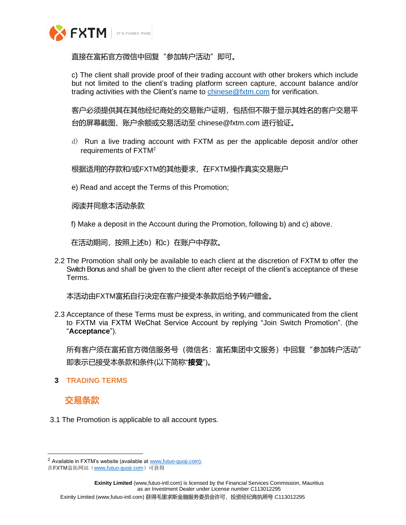

直接在富拓官方微信中回复 "参加转户活动" 即可。

c) The client shall provide proof of their trading account with other brokers which include but not limited to the client's trading platform screen capture, account balance and/or trading activities with the Client's name to [chinese@fxtm.com](mailto:chinese@fxtm.com) for verification.

客户必须提供其在其他经纪商处的交易账户证明,包括但不限于显示其姓名的客户交易平 台的屏幕截图、账户余额或交易活动至 chinese@fxtm.com 进行验证。

d) Run a live trading account with FXTM as per the applicable deposit and/or other requirements of FXTM<sup>2</sup>

根据适用的存款和/或FXTM的其他要求,在FXTM操作真实交易账户

e) Read and accept the Terms of this Promotion;

阅读并同意本活动条款

f) Make a deposit in the Account during the Promotion, following b) and c) above.

在活动期间,按照上述b)和c)在账户中存款。

2.2 The Promotion shall only be available to each client at the discretion of FXTM to offer the Switch Bonus and shall be given to the client after receipt of the client's acceptance of these Terms.

本活动由FXTM富拓自行决定在客户接受本条款后给予转户赠金。

2.3 Acceptance of these Terms must be express, in writing, and communicated from the client to FXTM via FXTM WeChat Service Account by replying "Join Switch Promotion". (the "**Acceptance**").

所有客户须在富拓官方微信服务号(微信名:富拓集团中文服务)中回复"参加转户活动" 即表示已接受本条款和条件(以下简称"**接受**")。

**3 TRADING TERMS**

## **交易条款**

3.1 The Promotion is applicable to all account types.

<sup>&</sup>lt;sup>2</sup> Available in FXTM's website (available at www, futuo-guoji.com).

在FXTM富拓网站(www,futuo-guoji.com)可获得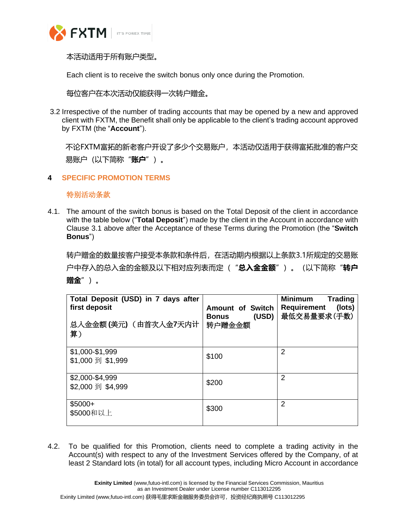

本活动适用于所有账户类型。

Each client is to receive the switch bonus only once during the Promotion.

每位客户在本次活动仅能获得一次转户赠金。

3.2 Irrespective of the number of trading accounts that may be opened by a new and approved client with FXTM, the Benefit shall only be applicable to the client's trading account approved by FXTM (the "**Account**").

不论FXTM富拓的新老客户开设了多少个交易账户,本活动仅适用于获得富拓批准的客户交 易账户(以下简称"**账户**")。

## **4 SPECIFIC PROMOTION TERMS**

特别活动条款

4.1. The amount of the switch bonus is based on the Total Deposit of the client in accordance with the table below ("**Total Deposit**") made by the client in the Account in accordance with Clause 3.1 above after the Acceptance of these Terms during the Promotion (the "**Switch Bonus**")

转户赠金的数量按客户接受本条款和条件后,在活动期内根据以上条款3.1所规定的交易账 户中存入的总入金的金额及以下相对应列表而定("**总入金金额**")。(以下简称"**转户 赠金**")。

| Total Deposit (USD) in 7 days after<br>first deposit<br>总入金金额(美元) (由首次入金7天内计<br>算) | <b>Amount of Switch</b><br>(USD)<br>Bonus<br>转户赠金金额 | <b>Minimum</b><br><b>Trading</b><br>Requirement<br>(lots)<br>最低交易量要求(手数) |
|------------------------------------------------------------------------------------|-----------------------------------------------------|--------------------------------------------------------------------------|
| \$1,000-\$1,999<br>\$1,000 到 \$1,999                                               | \$100                                               | 2                                                                        |
| \$2,000-\$4,999<br>\$2,000 到 \$4,999                                               | \$200                                               | 2                                                                        |
| $$5000+$<br>\$5000和以上                                                              | \$300                                               | 2                                                                        |

4.2. To be qualified for this Promotion, clients need to complete a trading activity in the Account(s) with respect to any of the Investment Services offered by the Company, of at least 2 Standard lots (in total) for all account types, including Micro Account in accordance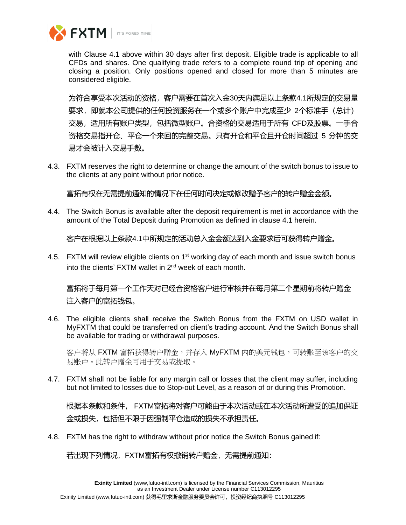

with Clause 4.1 above within 30 days after first deposit. Eligible trade is applicable to all CFDs and shares. One qualifying trade refers to a complete round trip of opening and closing a position. Only positions opened and closed for more than 5 minutes are considered eligible.

为符合享受本次活动的资格,客户需要在首次入金30天内满足以上条款4.1所规定的交易量 要求,即就本公司提供的任何投资服务在一个或多个账户中完成至少 2个标准手(总计) 交易,适用所有账户类型,包括微型账户。合资格的交易适用于所有 CFD及股票。一手合 资格交易指开仓、平仓一个来回的完整交易。只有开仓和平仓且开仓时间超过 5 分钟的交 易才会被计入交易手数。

4.3. FXTM reserves the right to determine or change the amount of the switch bonus to issue to the clients at any point without prior notice.

富拓有权在无需提前通知的情况下在任何时间决定或修改赠予客户的转户赠金金额。

4.4. The Switch Bonus is available after the deposit requirement is met in accordance with the amount of the Total Deposit during Promotion as defined in clause 4.1 herein.

客户在根据以上条款4.1中所规定的活动总入金金额达到入金要求后可获得转户赠金。

4.5. FXTM will review eligible clients on 1<sup>st</sup> working day of each month and issue switch bonus into the clients' FXTM wallet in 2<sup>nd</sup> week of each month.

富拓将于每月第一个工作天对已经合资格客户进行审核并在每月第二个星期前将转户赠金 注入客户的富拓钱包。

4.6. The eligible clients shall receive the Switch Bonus from the FXTM on USD wallet in MyFXTM that could be transferred on client's trading account. And the Switch Bonus shall be available for trading or withdrawal purposes.

客户将从 FXTM 富拓获得转户赠金,并存入 MyFXTM 内的美元钱包,可转账至该客户的交 易账户。此转户赠金可用于交易或提取。

4.7. FXTM shall not be liable for any margin call or losses that the client may suffer, including but not limited to losses due to Stop-out Level, as a reason of or during this Promotion.

根据本条款和条件, FXTM富拓将对客户可能由于本次活动或在本次活动所遭受的追加保证 金或损失,包括但不限于因强制平仓造成的损失不承担责任。

4.8. FXTM has the right to withdraw without prior notice the Switch Bonus gained if:

若出现下列情况,FXTM富拓有权撤销转户赠金,无需提前通知: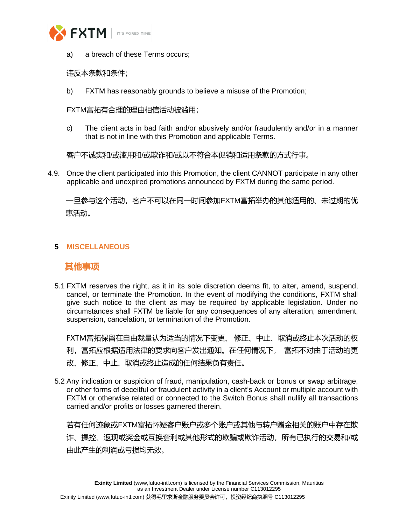

a) a breach of these Terms occurs;

### 违反本条款和条件;

b) FXTM has reasonably grounds to believe a misuse of the Promotion;

FXTM富拓有合理的理由相信活动被滥用;

c) The client acts in bad faith and/or abusively and/or fraudulently and/or in a manner that is not in line with this Promotion and applicable Terms.

客户不诚实和/或滥用和/或欺诈和/或以不符合本促销和适用条款的方式行事。

4.9. Once the client participated into this Promotion, the client CANNOT participate in any other applicable and unexpired promotions announced by FXTM during the same period.

 一旦参与这个活动,客户不可以在同一时间参加FXTM富拓举办的其他适用的、未过期的优 惠活动。

### **5 MISCELLANEOUS**

## **其他事项**

5.1 FXTM reserves the right, as it in its sole discretion deems fit, to alter, amend, suspend, cancel, or terminate the Promotion. In the event of modifying the conditions, FXTM shall give such notice to the client as may be required by applicable legislation. Under no circumstances shall FXTM be liable for any consequences of any alteration, amendment, suspension, cancelation, or termination of the Promotion.

FXTM富拓保留在自由裁量认为适当的情况下变更、 修正、中止、取消或终止本次活动的权

- 利,富拓应根据适用法律的要求向客户发出通知。在任何情况下, 富拓不对由于活动的更
- 改、修正、中止、取消或终止造成的任何结果负有责任。
- 5.2 Any indication or suspicion of fraud, manipulation, cash-back or bonus or swap arbitrage, or other forms of deceitful or fraudulent activity in a client's Account or multiple account with FXTM or otherwise related or connected to the Switch Bonus shall nullify all transactions carried and/or profits or losses garnered therein.

若有任何迹象或FXTM富拓怀疑客户账户或多个账户或其他与转户赠金相关的账户中存在欺 诈、操控、返现或奖金或互换套利或其他形式的欺骗或欺诈活动,所有已执行的交易和/或 由此产生的利润或亏损均无效。